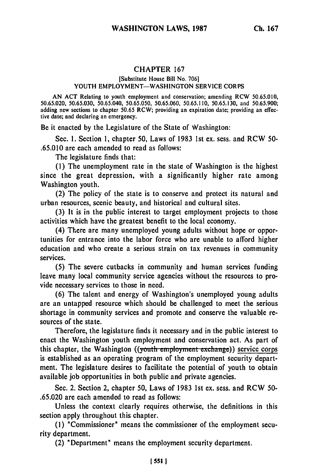## CHAPTER <sup>167</sup>

## [Substitute House Bill No. 706] YOUTH EMPLOYMENT-WASHINGTON SERVICE CORPS

AN ACT Relating to youth employment and conservation; amending RCW 50.65.010, 50.65.020, 50.65.030, 50.65.040, 50.65.050, 50.65.060, 50.65.110, 50.65.130, and 50.65.900; adding new sections to chapter 50.65 RCW; providing an expiration date; providing an effective date; and declaring an emergency.

Be it enacted by the Legislature of the State of Washington:

Sec. I. Section **1,** chapter 50, Laws of 1983 1st ex. sess. and RCW **50-** .65.010 are each amended to read as follows:

The legislature finds that:

**(1)** The unemployment rate in the state of Washington is the highest since the great depression, with a significantly higher rate among Washington youth.

(2) The policy of the state is to conserve and protect its natural and urban resources, scenic beauty, and historical and cultural sites.

**(3)** It is in the public interest to target employment projects to those activities which have the greatest benefit to the local economy.

(4) There are many unemployed young adults without hope or opportunities for entrance into the labor force who are unable to afford higher education and who create a serious strain on tax revenues in community services.

**(5)** The severe cutbacks in community and human services funding leave many local community service agencies without the resources to provide necessary services to those in need.

**(6)** The talent and energy of Washington's unemployed young adults are an untapped resource which should **be** challenged to meet the serious shortage in community services and promote and conserve the valuable resources of the state.

Therefore, the legislature finds it necessary and in the public interest to enact the Washington youth employment and conservation act. As part of this chapter, the Washington ((youth employment exchange)) service corps is established as an operating program of the employment security department. The legislature desires to facilitate the potential of youth to obtain available **job** opportunities in both public and private agencies.

Sec. 2. Section 2, chapter **50,** Laws of **1983 1st** ex. sess. and RCW **50- .65.020** are each amended to read as follows:

Unless the context clearly requires otherwise, the definitions in this section apply throughout this chapter.

**(1)** "Commissioner" means the commissioner of the employment security department.

(2) "Department" means the employment security department.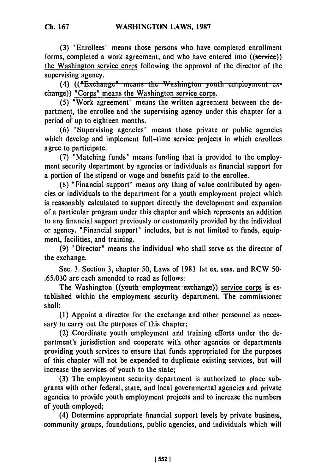**Ch. 167**

forms, completed a work agreement, and who have entered into ((service)) the Washington service corps following the approval of the director of the

supervising agency.<br>(4) **((<sup>#</sup>Exchange<sup>"</sup> means the Washington-youth-employment-ex**change)) "Corps" means the Washington service corps.

(5) "Work agreement" means the written agreement between the department, the enrollee and the supervising agency under this chapter for a period **of** up to eighteen months.

**(6)** "Supervising agencies" means those private or public agencies which develop and implement full-time service projects in which enrollees agree to participate.

**(7)** "Matching funds" means funding that is provided to the employment security department **by** agencies or individuals as financial support for a portion of the stipend or wage and benefits paid to the enrollee.

**(8)** "Financial support" means any thing of value contributed **by** agencies or individuals to the department for a youth employment project which is reasonably calculated to support directly the development and expansion of a particular program under this chapter and which represents an addition to any financial support previously or customarily provided **by** the individual or agency. "Financial support" includes, but is not limited to funds, equipment, facilities, and training.

**(9)** "Director" means the individual who shall serve as the director of the exchange.

Sec. 3. Section 3, chapter **50,** Laws of 1983 1st ex. sess. and RCW 50- .65.030 are each amended to read as follows:

The Washington ((youth employment exchange)) service corps is established within the employment security department. The commissioner shall:

**(1)** Appoint a director for the exchange and other personnel as necessary to carry out the purposes of this chapter;

(2) Coordinate youth employment and training efforts under the department's jurisdiction and cooperate with other agencies or departments providing youth services to ensure that funds appropriated for the purposes of this chapter will not be expended to duplicate existing services, but will increase the services of youth to the state;

**(3)** The employment security department is authorized to place subgrants with other federal, state, and local governmental agencies and private agencies to provide youth employment projects and to increase the numbers of youth employed;

(4) Determine appropriate financial support levels **by** private business, community groups, foundations, public agencies, and individuals which will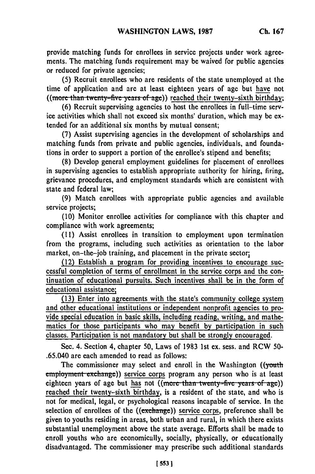provide matching funds for enrollees in service projects under work agreements. The matching funds requirement may be waived for public agencies or reduced for private agencies;

**(5)** Recruit enrollees who are residents of the state unemployed at the time of application and are at least eighteen years of age but have not ((more than twenty-five years of age)) reached their twenty-sixth birthday;

**(6)** Recruit supervising agencies to host the enrollees in full-time service activities which shall not exceed six months' duration, which may be extended for an additional six months **by** mutual consent;

**(7)** Assist supervising agencies in the development of scholarships and matching funds from private and public agencies, individuals, and foundations in order to support a portion of the enrollee's stipend and benefits;

**(8)** Develop general employment guidelines for placement of enrollees in supervising agencies to establish appropriate authority for hiring, firing, grievance procedures, and employment standards which are consistent with state and federal law;

**(9)** Match enrollees with appropriate public agencies and available service projects;

**(10)** Monitor enrollee activities for compliance with this chapter and compliance with work agreements;

**(11)** Assist enrollees in transition to employment upon termination from the programs, including such activities as orientation to the labor market, on-the-job training, and placement in the private sector;

(12) Establish a program for providing incentives to encourage successful completion of terms of enrollment in the service corps and the continuation of educational pursuits. Such incentives shall be in the form of educational assistance;

**(13)** Enter into agreements with the state's community college system and other educational institutions or independent nonprofit agencies to provide special education in basic skills, including reading, writing, and mathematics for those participants who may benefit **by** participation in such classes. Participation is not mandatory but shall be strongly encouraged.

See. 4. Section 4, chapter **50,** Laws of **1983 1st** ex. sess. and RCW **50-** .65.040 are each amended to read as follows:

The commissioner may select and enroll in the Washington ((youth employment exchange)) service corps program any person who is at least eighteen years of age but has not ((more than twenty-five years of age)) reached their twenty-sixth birthday, is a resident of the state, and who is not for medical, legal, or psychological reasons incapable of service. In the selection of enrollees of the ((exchange)) service corps, preference shall be given to youths residing in areas, both urban and rural, in which there exists substantial unemployment above the state average. Efforts shall be made to enroll youths who are economically, socially, physically, or educationally disadvantaged. The commissioner may prescribe such additional standards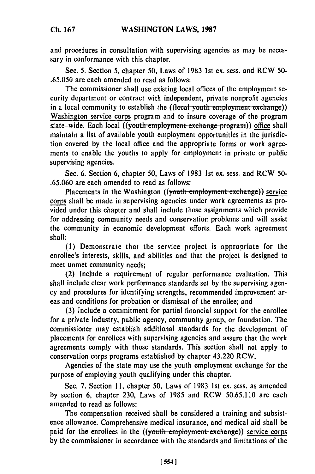and procedures in consultation with supervising agencies as may be necessary in conformance with this chapter.

Sec. 5. Section 5, chapter 50, Laws of 1983 1st ex. sess. and RCW 50- .65.050 are each amended to read as follows:

The commissioner shall use existing local offices of the employment security department or contract with independent, private nonprofit agencies in a local community to establish the ((local youth employment exchange)) Washington service corps program and to insure coverage of the program state-wide. Each local ((youth employment exchange program)) office shall maintain a list of available youth employment opportunities in the jurisdiction covered by the local office and the appropriate forms or work agreements to enable the youths to apply for employment in private or public supervising agencies.

Sec. 6. Section 6, chapter 50, Laws of 1983 1st ex. sess. and RCW 50- .65.060 are each amended to read as follows:

Placements in the Washington ((youth employment exchange)) service corps shall be made in supervising agencies under work agreements as provided under this chapter and shall include those assignments which provide for addressing community needs and conservation problems and will assist the community in economic development efforts. Each work agreement shall:

(1) Demonstrate that the service project is appropriate for the enrollee's interests, skills, and abilities and that the project is designed to meet unmet community needs;

(2) Include a requirement of regular performance evaluation. This shall include clear work performance standards set by the supervising agency and procedures for identifying strengths, recommended improvement areas and conditions for probation or dismissal of the enrollee; and

(3) Include a commitment for partial financial support for the enrollee for a private industry, public agency, community group, or foundation. The commissioner may establish additional standards for the development of placements for enrollees with supervising agencies and assure that the work agreements comply with those standards. This section shall not apply to conservation corps programs established by chapter 43.220 RCW.

Agencies of the state may use the youth employment exchange for the purpose of employing youth qualifying under this chapter.

Sec. 7. Section **11,** chapter **50,** Laws of 1983 1st ex. sess. as amended by section 6, chapter 230, Laws of 1985 and RCW 50.65.110 are each amended to read as follows:

The compensation received shall be considered a training and subsistence allowance. Comprehensive medical insurance, and medical aid shall be paid for the enrollees in the ((youth employment exchange)) service corps by the commissioner in accordance with the standards and limitations of the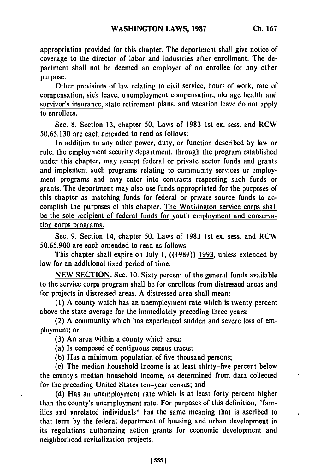appropriation provided for this chapter. The department shall give notice of coverage to the director of labor and industries after enrollment. The department shall not be deemed an employer of an enrollee for any other purpose.

Other provisions of law relating to civil service, hours of work, rate of compensation, sick leave, unemployment compensation, old age health and survivor's insurance, state retirement plans, and vacation leave do not apply to enrollees.

Sec. 8. Section 13, chapter 50, Laws of 1983 1st ex. sess. and RCW 50.65.130 are each amended to read as follows:

In addition to any other power, duty, or function described by law or rule, the employment security department, through the program established under this chapter, may accept federal or private sector funds and grants and implement such programs relating to community services or employment programs and may enter into contracts respecting such funds or grants. The department may also use funds appropriated for the purposes of this chapter as matching funds for federal or private source funds to accomplish the purposes of this chapter. The Washington service corps shall be the sole recipient of federal funds for youth employment and conservation corps programs.

Sec. 9. Section 14, chapter 50, Laws of 1983 1st ex. sess. and RCW 50.65.900 are each amended to read as follows:

This chapter shall expire on July 1, ((1987)) 1993, unless extended by law for an additional fixed period of time.

NEW SECTION. Sec. 10. Sixty percent of the general funds available to the service corps program shall be for enrollees from distressed areas and for projects in distressed areas. A distressed area shall mean:

(1) A county which has an unemployment rate which is twenty percent above the state average for the immediately preceding three years;

(2) A community which has experienced sudden and severe loss of employment; or

(3) An area within a county which area:

(a) Is composed of contiguous census tracts;

(b) Has a minimum population of five thousand persons;

(c) The median household income is at least thirty-five percent below the county's median household income, as determined from data collected for the preceding United States ten-year census; and

(d) Has an unemployment rate which is at least forty percent higher than the county's unemployment rate. For purposes of this definition, "families and unrelated individuals" has the same meaning that is ascribed to that term by the federal department of housing and urban development in its regulations authorizing action grants for economic development and neighborhood revitalization projects.